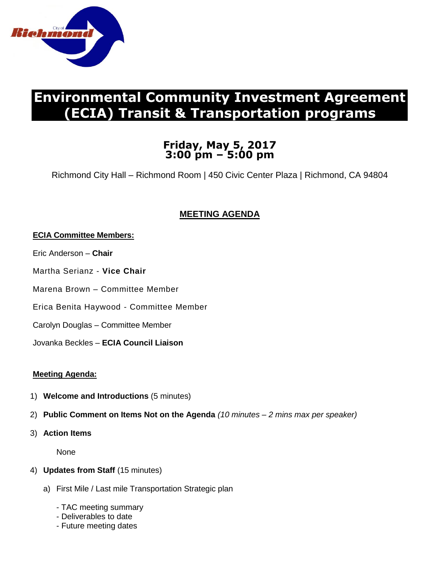

# **Environmental Community Investment Agreement (ECIA) Transit & Transportation programs**

# **Friday, May 5, 2017 3:00 pm – 5:00 pm**

Richmond City Hall – Richmond Room | 450 Civic Center Plaza | Richmond, CA 94804

# **MEETING AGENDA**

## **ECIA Committee Members:**

- Eric Anderson **Chair**
- Martha Serianz **Vice Chair**
- Marena Brown Committee Member
- Erica Benita Haywood Committee Member
- Carolyn Douglas Committee Member
- Jovanka Beckles **ECIA Council Liaison**

## **Meeting Agenda:**

- 1) **Welcome and Introductions** (5 minutes)
- 2) **Public Comment on Items Not on the Agenda** *(10 minutes – 2 mins max per speaker)*
- 3) **Action Items**

**None** 

- 4) **Updates from Staff** (15 minutes)
	- a) First Mile / Last mile Transportation Strategic plan
		- TAC meeting summary
		- Deliverables to date
		- Future meeting dates